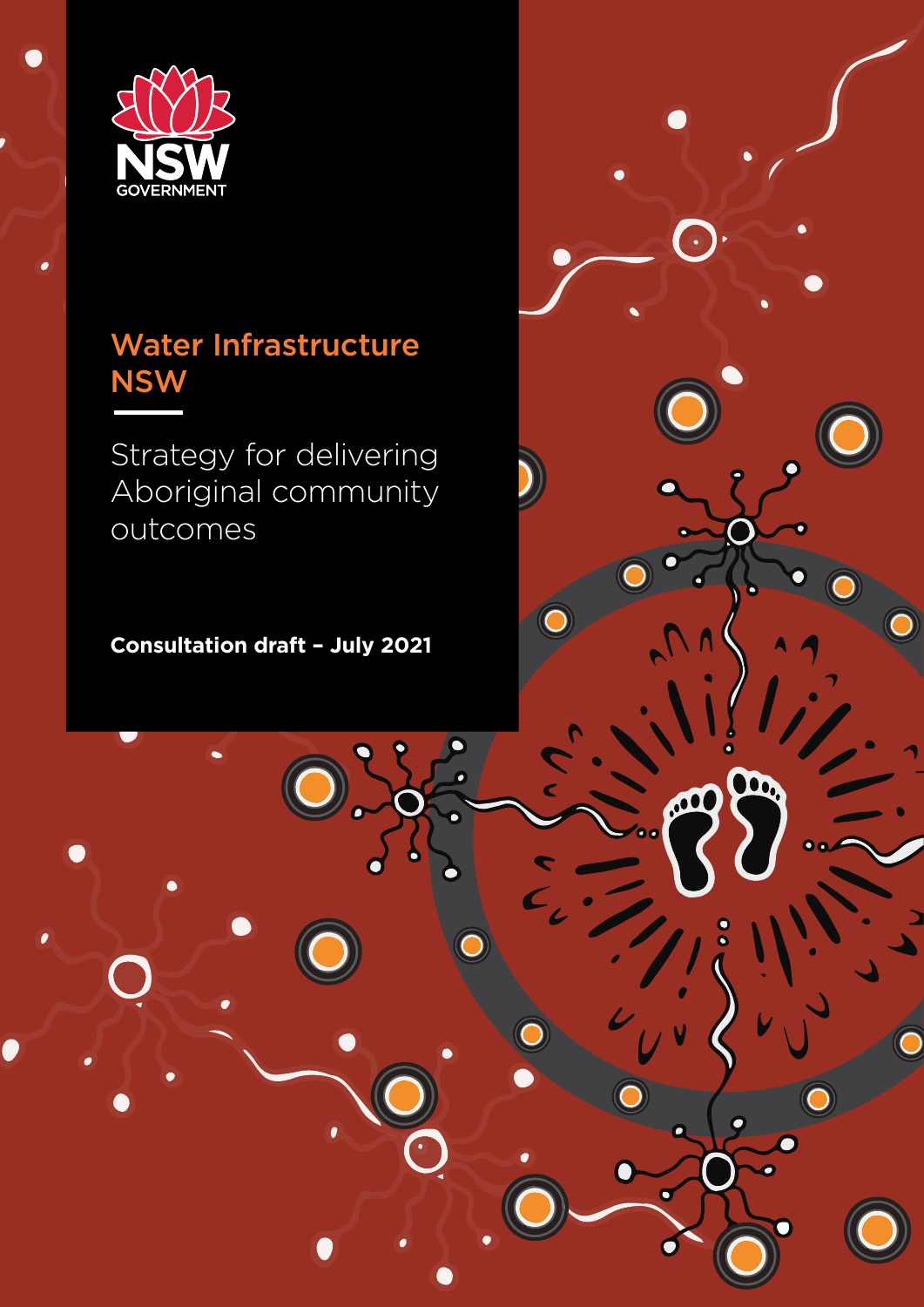

 $\bullet$ 

# Water Infrastructure NSW

Strategy for delivering Aboriginal community outcomes

d

ood

IQ,

 $\overline{\mathbf{o}}$ 

 $\bullet$ 

 $\bullet$ 

**Consultation draft – July 2021**

 $\bullet$ 

Г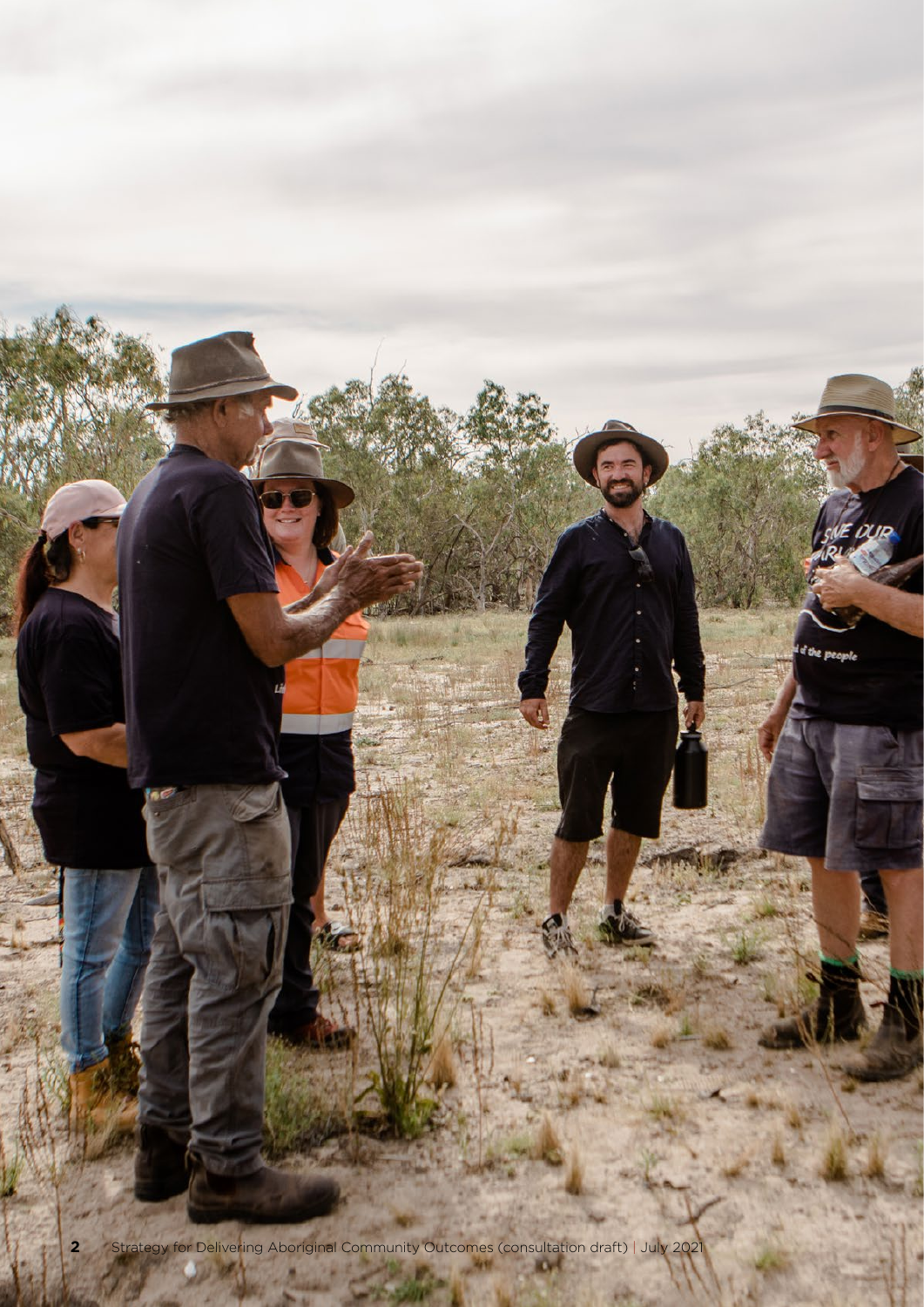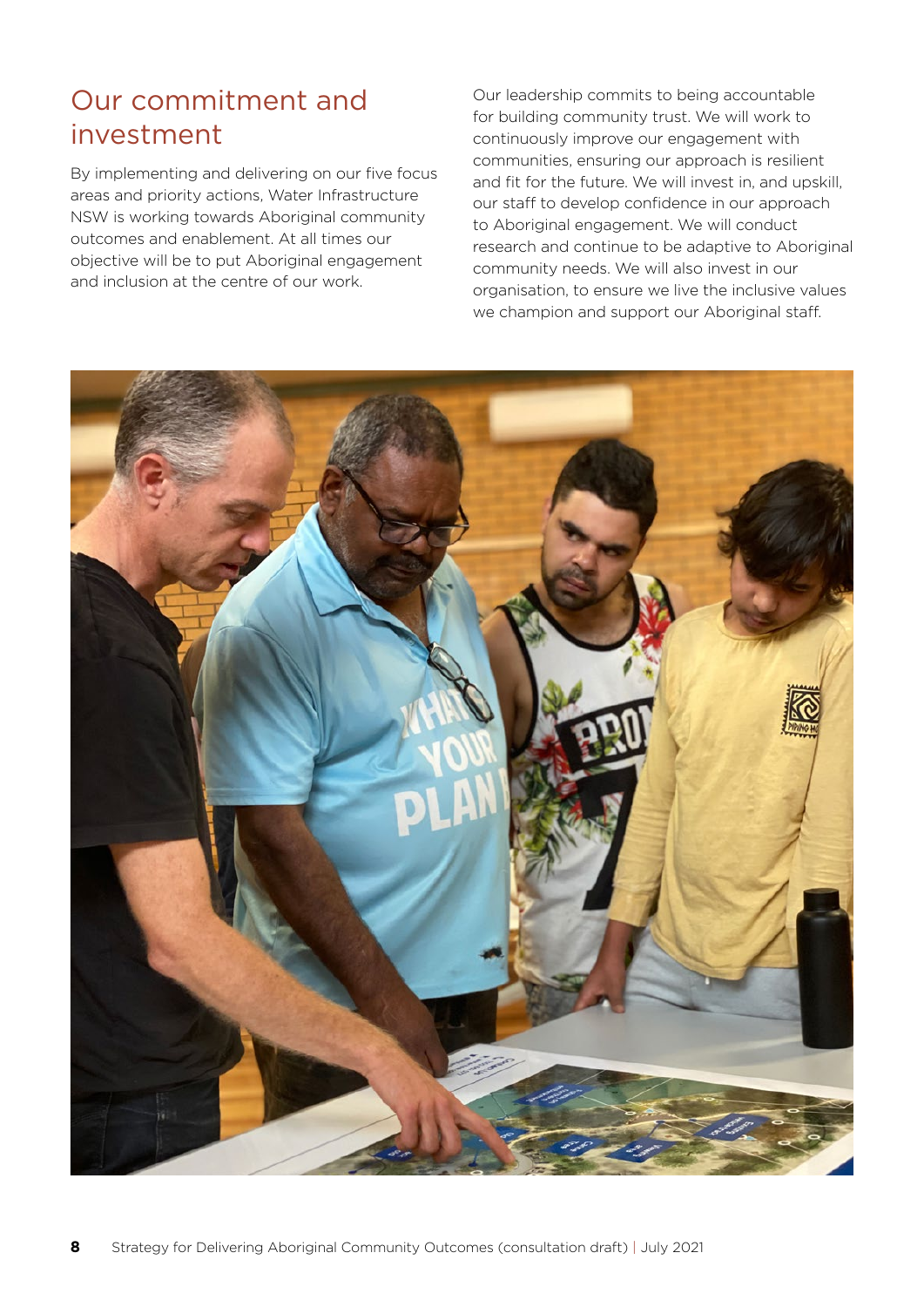#### Our commitment and investment

By implementing and delivering on our five focus areas and priority actions, Water Infrastructure NSW is working towards Aboriginal community outcomes and enablement. At all times our objective will be to put Aboriginal engagement and inclusion at the centre of our work.

Our leadership commits to being accountable for building community trust. We will work to continuously improve our engagement with communities, ensuring our approach is resilient and fit for the future. We will invest in, and upskill, our staff to develop confidence in our approach to Aboriginal engagement. We will conduct research and continue to be adaptive to Aboriginal community needs. We will also invest in our organisation, to ensure we live the inclusive values we champion and support our Aboriginal staff.

![](_page_9_Picture_3.jpeg)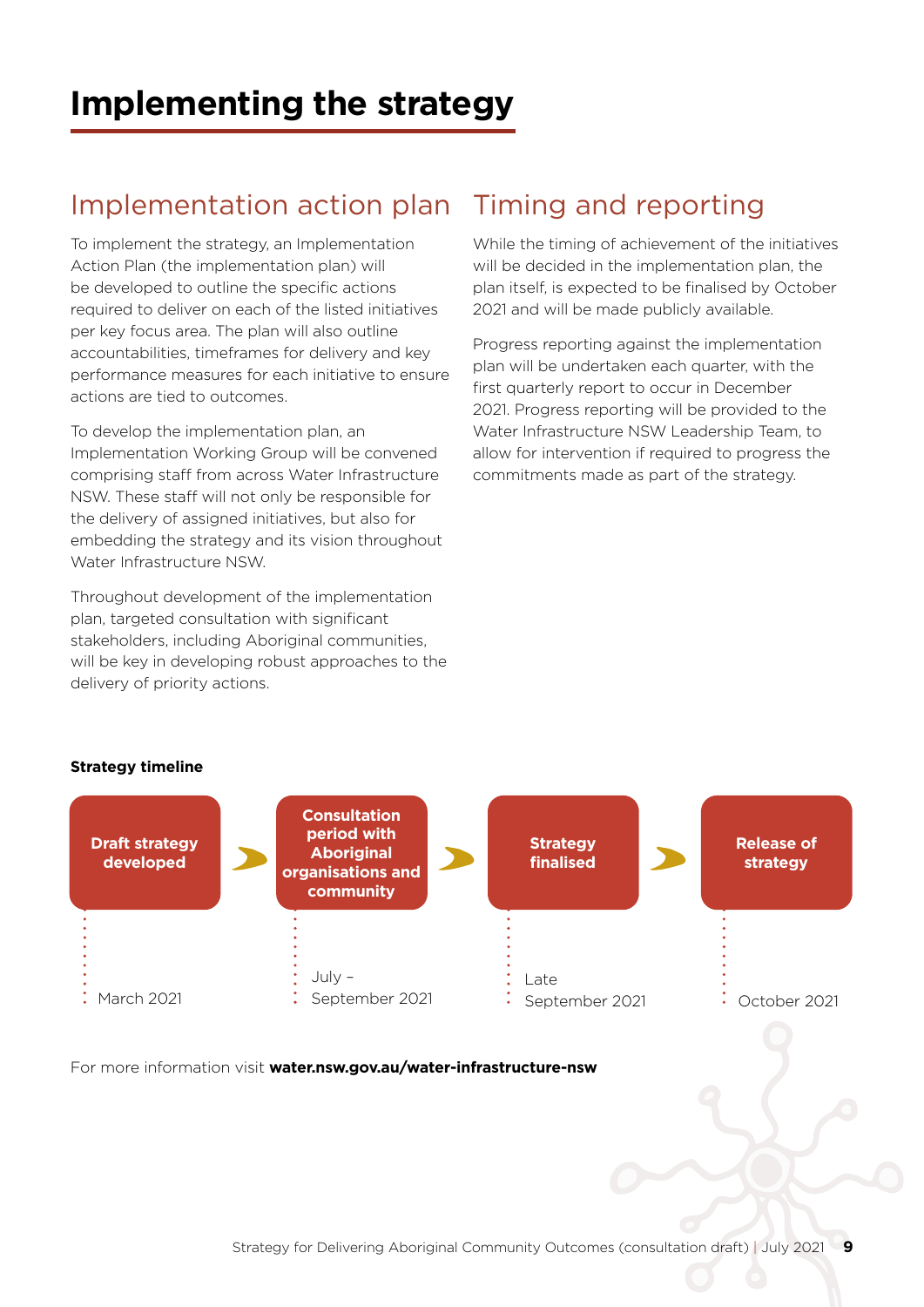## Implementation action plan

To implement the strategy, an Implementation Action Plan (the implementation plan) will be developed to outline the specific actions required to deliver on each of the listed initiatives per key focus area. The plan will also outline accountabilities, timeframes for delivery and key performance measures for each initiative to ensure actions are tied to outcomes.

To develop the implementation plan, an Implementation Working Group will be convened comprising staff from across Water Infrastructure NSW. These staff will not only be responsible for the delivery of assigned initiatives, but also for embedding the strategy and its vision throughout Water Infrastructure NSW.

Throughout development of the implementation plan, targeted consultation with significant stakeholders, including Aboriginal communities, will be key in developing robust approaches to the delivery of priority actions.

## Timing and reporting

While the timing of achievement of the initiatives will be decided in the implementation plan, the plan itself, is expected to be finalised by October 2021 and will be made publicly available.

Progress reporting against the implementation plan will be undertaken each quarter, with the first quarterly report to occur in December 2021. Progress reporting will be provided to the Water Infrastructure NSW Leadership Team, to allow for intervention if required to progress the commitments made as part of the strategy.

#### **Strategy timeline**

![](_page_10_Figure_9.jpeg)

For more information visit **<water.nsw.gov.au/water-infrastructure-nsw>**